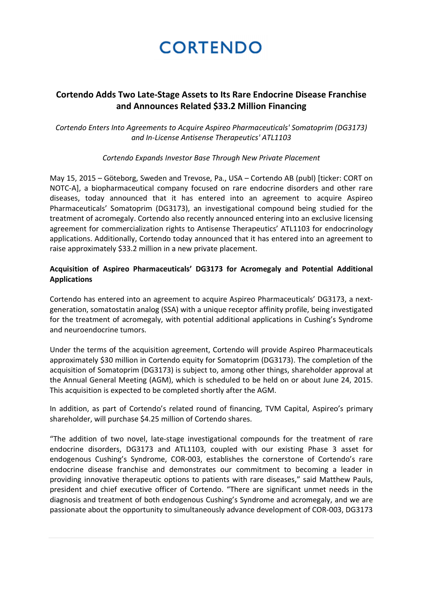# **Cortendo Adds Two Late-Stage Assets to Its Rare Endocrine Disease Franchise and Announces Related \$33.2 Million Financing**

*Cortendo Enters Into Agreements to Acquire Aspireo Pharmaceuticals' Somatoprim (DG3173) and In-License Antisense Therapeutics' ATL1103*

## *Cortendo Expands Investor Base Through New Private Placement*

May 15, 2015 – Göteborg, Sweden and Trevose, Pa., USA – Cortendo AB (publ) [ticker: CORT on NOTC-A], a biopharmaceutical company focused on rare endocrine disorders and other rare diseases, today announced that it has entered into an agreement to acquire Aspireo Pharmaceuticals' Somatoprim (DG3173), an investigational compound being studied for the treatment of acromegaly. Cortendo also recently announced entering into an exclusive licensing agreement for commercialization rights to Antisense Therapeutics' ATL1103 for endocrinology applications. Additionally, Cortendo today announced that it has entered into an agreement to raise approximately \$33.2 million in a new private placement.

# **Acquisition of Aspireo Pharmaceuticals' DG3173 for Acromegaly and Potential Additional Applications**

Cortendo has entered into an agreement to acquire Aspireo Pharmaceuticals' DG3173, a nextgeneration, somatostatin analog (SSA) with a unique receptor affinity profile, being investigated for the treatment of acromegaly, with potential additional applications in Cushing's Syndrome and neuroendocrine tumors.

Under the terms of the acquisition agreement, Cortendo will provide Aspireo Pharmaceuticals approximately \$30 million in Cortendo equity for Somatoprim (DG3173). The completion of the acquisition of Somatoprim (DG3173) is subject to, among other things, shareholder approval at the Annual General Meeting (AGM), which is scheduled to be held on or about June 24, 2015. This acquisition is expected to be completed shortly after the AGM.

In addition, as part of Cortendo's related round of financing, TVM Capital, Aspireo's primary shareholder, will purchase \$4.25 million of Cortendo shares.

"The addition of two novel, late-stage investigational compounds for the treatment of rare endocrine disorders, DG3173 and ATL1103, coupled with our existing Phase 3 asset for endogenous Cushing's Syndrome, COR-003, establishes the cornerstone of Cortendo's rare endocrine disease franchise and demonstrates our commitment to becoming a leader in providing innovative therapeutic options to patients with rare diseases," said Matthew Pauls, president and chief executive officer of Cortendo. "There are significant unmet needs in the diagnosis and treatment of both endogenous Cushing's Syndrome and acromegaly, and we are passionate about the opportunity to simultaneously advance development of COR-003, DG3173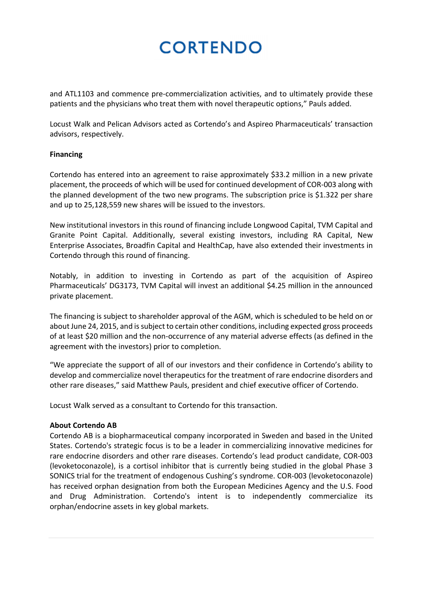and ATL1103 and commence pre-commercialization activities, and to ultimately provide these patients and the physicians who treat them with novel therapeutic options," Pauls added.

Locust Walk and Pelican Advisors acted as Cortendo's and Aspireo Pharmaceuticals' transaction advisors, respectively.

## **Financing**

Cortendo has entered into an agreement to raise approximately \$33.2 million in a new private placement, the proceeds of which will be used for continued development of COR-003 along with the planned development of the two new programs. The subscription price is \$1.322 per share and up to 25,128,559 new shares will be issued to the investors.

New institutional investors in this round of financing include Longwood Capital, TVM Capital and Granite Point Capital. Additionally, several existing investors, including RA Capital, New Enterprise Associates, Broadfin Capital and HealthCap, have also extended their investments in Cortendo through this round of financing.

Notably, in addition to investing in Cortendo as part of the acquisition of Aspireo Pharmaceuticals' DG3173, TVM Capital will invest an additional \$4.25 million in the announced private placement.

The financing is subject to shareholder approval of the AGM, which is scheduled to be held on or about June 24, 2015, and is subject to certain other conditions, including expected gross proceeds of at least \$20 million and the non-occurrence of any material adverse effects (as defined in the agreement with the investors) prior to completion.

"We appreciate the support of all of our investors and their confidence in Cortendo's ability to develop and commercialize novel therapeutics for the treatment of rare endocrine disorders and other rare diseases," said Matthew Pauls, president and chief executive officer of Cortendo.

Locust Walk served as a consultant to Cortendo for this transaction.

## **About Cortendo AB**

Cortendo AB is a biopharmaceutical company incorporated in Sweden and based in the United States. Cortendo's strategic focus is to be a leader in commercializing innovative medicines for rare endocrine disorders and other rare diseases. Cortendo's lead product candidate, COR-003 (levoketoconazole), is a cortisol inhibitor that is currently being studied in the global Phase 3 SONICS trial for the treatment of endogenous Cushing's syndrome. COR-003 (levoketoconazole) has received orphan designation from both the European Medicines Agency and the U.S. Food and Drug Administration. Cortendo's intent is to independently commercialize its orphan/endocrine assets in key global markets.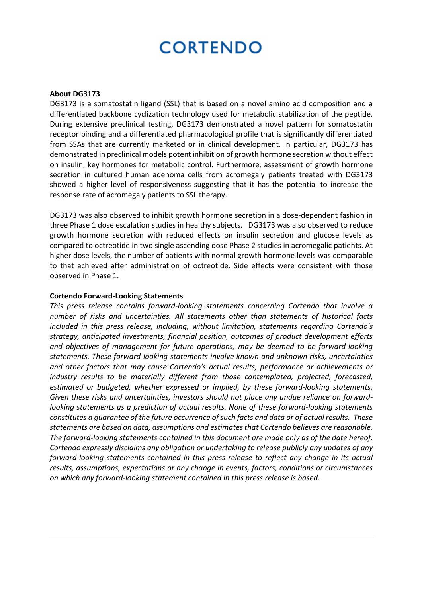#### **About DG3173**

DG3173 is a somatostatin ligand (SSL) that is based on a novel amino acid composition and a differentiated backbone cyclization technology used for metabolic stabilization of the peptide. During extensive preclinical testing, DG3173 demonstrated a novel pattern for somatostatin receptor binding and a differentiated pharmacological profile that is significantly differentiated from SSAs that are currently marketed or in clinical development. In particular, DG3173 has demonstrated in preclinical models potent inhibition of growth hormone secretion without effect on insulin, key hormones for metabolic control. Furthermore, assessment of growth hormone secretion in cultured human adenoma cells from acromegaly patients treated with DG3173 showed a higher level of responsiveness suggesting that it has the potential to increase the response rate of acromegaly patients to SSL therapy.

DG3173 was also observed to inhibit growth hormone secretion in a dose-dependent fashion in three Phase 1 dose escalation studies in healthy subjects. DG3173 was also observed to reduce growth hormone secretion with reduced effects on insulin secretion and glucose levels as compared to octreotide in two single ascending dose Phase 2 studies in acromegalic patients. At higher dose levels, the number of patients with normal growth hormone levels was comparable to that achieved after administration of octreotide. Side effects were consistent with those observed in Phase 1.

#### **Cortendo Forward-Looking Statements**

*This press release contains forward-looking statements concerning Cortendo that involve a number of risks and uncertainties. All statements other than statements of historical facts included in this press release, including, without limitation, statements regarding Cortendo's strategy, anticipated investments, financial position, outcomes of product development efforts and objectives of management for future operations, may be deemed to be forward-looking statements. These forward-looking statements involve known and unknown risks, uncertainties and other factors that may cause Cortendo's actual results, performance or achievements or industry results to be materially different from those contemplated, projected, forecasted, estimated or budgeted, whether expressed or implied, by these forward-looking statements. Given these risks and uncertainties, investors should not place any undue reliance on forwardlooking statements as a prediction of actual results. None of these forward-looking statements constitutes a guarantee of the future occurrence of such facts and data or of actual results. These statements are based on data, assumptions and estimates that Cortendo believes are reasonable. The forward-looking statements contained in this document are made only as of the date hereof. Cortendo expressly disclaims any obligation or undertaking to release publicly any updates of any forward-looking statements contained in this press release to reflect any change in its actual results, assumptions, expectations or any change in events, factors, conditions or circumstances on which any forward-looking statement contained in this press release is based.*